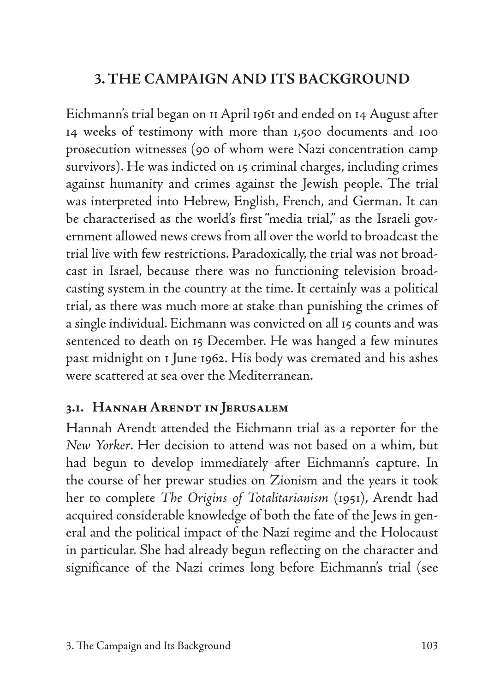# **3. THE CAMPAIGN AND ITS BACKGROUND**

Eichmann's trial began on 11 April 1961 and ended on 14 August after 14 weeks of testimony with more than 1,500 documents and 100 prosecution witnesses (90 of whom were Nazi concentration camp survivors). He was indicted on 15 criminal charges, including crimes against humanity and crimes against the Jewish people. The trial was interpreted into Hebrew, English, French, and German. It can be characterised as the world's first "media trial," as the Israeli government allowed news crews from all over the world to broadcast the trial live with few restrictions. Paradoxically, the trial was not broadcast in Israel, because there was no functioning television broadcasting system in the country at the time. It certainly was a political trial, as there was much more at stake than punishing the crimes of a single individual. Eichmann was convicted on all 15 counts and was sentenced to death on 15 December. He was hanged a few minutes past midnight on 1 June 1962. His body was cremated and his ashes were scattered at sea over the Mediterranean.

## **3.1. Hannah Arendt in Jerusalem**

Hannah Arendt attended the Eichmann trial as a reporter for the *New Yorker*. Her decision to attend was not based on a whim, but had begun to develop immediately after Eichmann's capture. In the course of her prewar studies on Zionism and the years it took her to complete *The Origins of Totalitarianism* (1951), Arendt had acquired considerable knowledge of both the fate of the Jews in general and the political impact of the Nazi regime and the Holocaust in particular. She had already begun reflecting on the character and significance of the Nazi crimes long before Eichmann's trial (see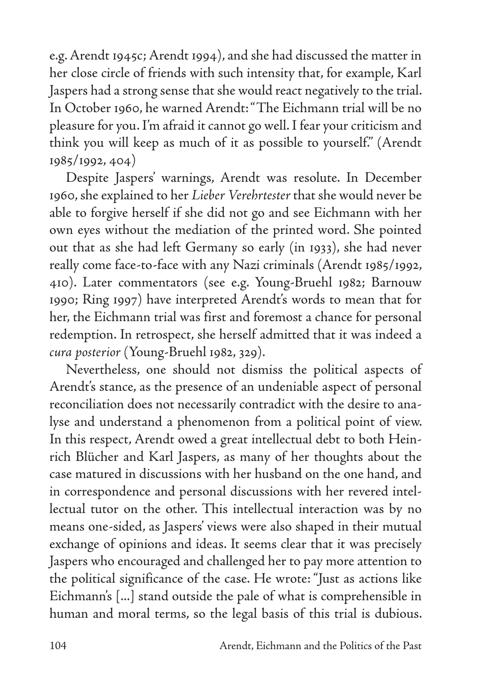e.g. Arendt 1945c; Arendt 1994), and she had discussed the matter in her close circle of friends with such intensity that, for example, Karl Jaspers had a strong sense that she would react negatively to the trial. In October 1960, he warned Arendt: "The Eichmann trial will be no pleasure for you. I'm afraid it cannot go well. I fear your criticism and think you will keep as much of it as possible to yourself." (Arendt 1985/1992, 404)

Despite Jaspers' warnings, Arendt was resolute. In December 1960, she explained to her *Lieber Verehrtester* that she would never be able to forgive herself if she did not go and see Eichmann with her own eyes without the mediation of the printed word. She pointed out that as she had left Germany so early (in 1933), she had never really come face-to-face with any Nazi criminals (Arendt 1985/1992, 410). Later commentators (see e.g. Young-Bruehl 1982; Barnouw 1990; Ring 1997) have interpreted Arendt's words to mean that for her, the Eichmann trial was first and foremost a chance for personal redemption. In retrospect, she herself admitted that it was indeed a *cura posterior* (Young-Bruehl 1982, 329).

Nevertheless, one should not dismiss the political aspects of Arendt's stance, as the presence of an undeniable aspect of personal reconciliation does not necessarily contradict with the desire to analyse and understand a phenomenon from a political point of view. In this respect, Arendt owed a great intellectual debt to both Heinrich Blücher and Karl Jaspers, as many of her thoughts about the case matured in discussions with her husband on the one hand, and in correspondence and personal discussions with her revered intellectual tutor on the other. This intellectual interaction was by no means one-sided, as Jaspers' views were also shaped in their mutual exchange of opinions and ideas. It seems clear that it was precisely Jaspers who encouraged and challenged her to pay more attention to the political significance of the case. He wrote: "Just as actions like Eichmann's [...] stand outside the pale of what is comprehensible in human and moral terms, so the legal basis of this trial is dubious.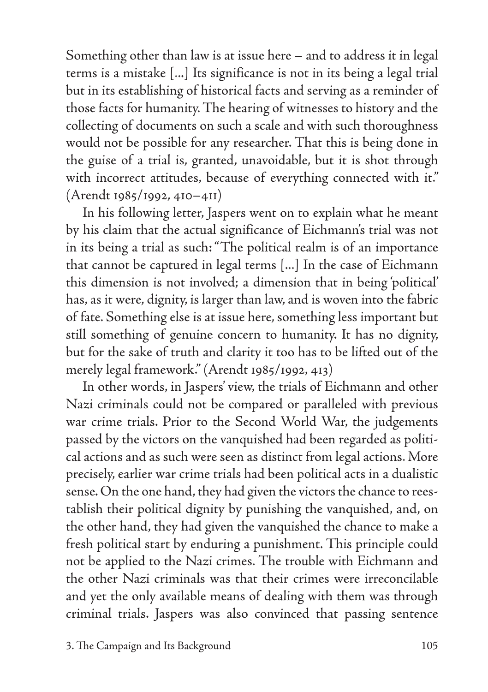Something other than law is at issue here – and to address it in legal terms is a mistake [...] Its significance is not in its being a legal trial but in its establishing of historical facts and serving as a reminder of those facts for humanity. The hearing of witnesses to history and the collecting of documents on such a scale and with such thoroughness would not be possible for any researcher. That this is being done in the guise of a trial is, granted, unavoidable, but it is shot through with incorrect attitudes, because of everything connected with it." (Arendt 1985/1992, 410–411)

In his following letter, Jaspers went on to explain what he meant by his claim that the actual significance of Eichmann's trial was not in its being a trial as such: "The political realm is of an importance that cannot be captured in legal terms [...] In the case of Eichmann this dimension is not involved; a dimension that in being 'political' has, as it were, dignity, is larger than law, and is woven into the fabric of fate. Something else is at issue here, something less important but still something of genuine concern to humanity. It has no dignity, but for the sake of truth and clarity it too has to be lifted out of the merely legal framework." (Arendt 1985/1992, 413)

In other words, in Jaspers' view, the trials of Eichmann and other Nazi criminals could not be compared or paralleled with previous war crime trials. Prior to the Second World War, the judgements passed by the victors on the vanquished had been regarded as political actions and as such were seen as distinct from legal actions. More precisely, earlier war crime trials had been political acts in a dualistic sense. On the one hand, they had given the victors the chance to reestablish their political dignity by punishing the vanquished, and, on the other hand, they had given the vanquished the chance to make a fresh political start by enduring a punishment. This principle could not be applied to the Nazi crimes. The trouble with Eichmann and the other Nazi criminals was that their crimes were irreconcilable and yet the only available means of dealing with them was through criminal trials. Jaspers was also convinced that passing sentence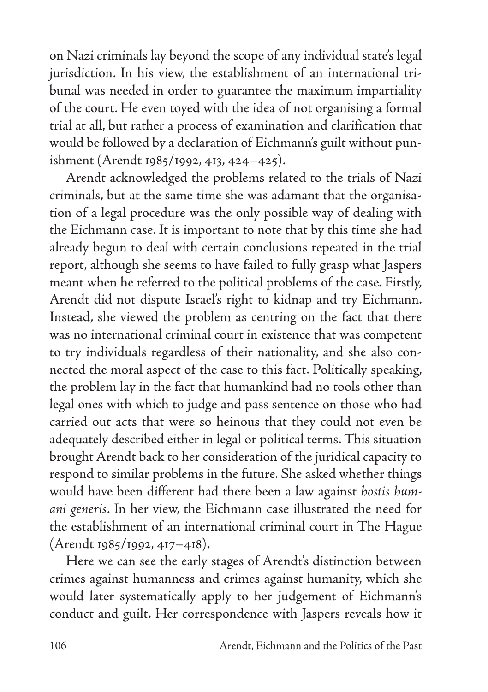on Nazi criminals lay beyond the scope of any individual state's legal jurisdiction. In his view, the establishment of an international tribunal was needed in order to guarantee the maximum impartiality of the court. He even toyed with the idea of not organising a formal trial at all, but rather a process of examination and clarification that would be followed by a declaration of Eichmann's guilt without punishment (Arendt 1985/1992, 413, 424–425).

Arendt acknowledged the problems related to the trials of Nazi criminals, but at the same time she was adamant that the organisation of a legal procedure was the only possible way of dealing with the Eichmann case. It is important to note that by this time she had already begun to deal with certain conclusions repeated in the trial report, although she seems to have failed to fully grasp what Jaspers meant when he referred to the political problems of the case. Firstly, Arendt did not dispute Israel's right to kidnap and try Eichmann. Instead, she viewed the problem as centring on the fact that there was no international criminal court in existence that was competent to try individuals regardless of their nationality, and she also connected the moral aspect of the case to this fact. Politically speaking, the problem lay in the fact that humankind had no tools other than legal ones with which to judge and pass sentence on those who had carried out acts that were so heinous that they could not even be adequately described either in legal or political terms. This situation brought Arendt back to her consideration of the juridical capacity to respond to similar problems in the future. She asked whether things would have been different had there been a law against *hostis humani generis*. In her view, the Eichmann case illustrated the need for the establishment of an international criminal court in The Hague (Arendt 1985/1992, 417–418).

Here we can see the early stages of Arendt's distinction between crimes against humanness and crimes against humanity, which she would later systematically apply to her judgement of Eichmann's conduct and guilt. Her correspondence with Jaspers reveals how it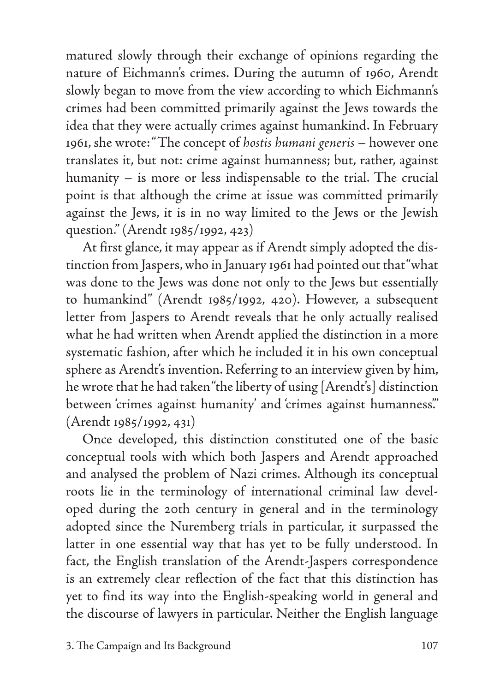matured slowly through their exchange of opinions regarding the nature of Eichmann's crimes. During the autumn of 1960, Arendt slowly began to move from the view according to which Eichmann's crimes had been committed primarily against the Jews towards the idea that they were actually crimes against humankind. In February 1961, she wrote: "The concept of *hostis humani generis* – however one translates it, but not: crime against humanness; but, rather, against humanity – is more or less indispensable to the trial. The crucial point is that although the crime at issue was committed primarily against the Jews, it is in no way limited to the Jews or the Jewish question." (Arendt 1985/1992, 423)

At first glance, it may appear as if Arendt simply adopted the distinction from Jaspers, who in January 1961 had pointed out that "what was done to the Jews was done not only to the Jews but essentially to humankind" (Arendt 1985/1992, 420). However, a subsequent letter from Jaspers to Arendt reveals that he only actually realised what he had written when Arendt applied the distinction in a more systematic fashion, after which he included it in his own conceptual sphere as Arendt's invention. Referring to an interview given by him, he wrote that he had taken "the liberty of using [Arendt's] distinction between 'crimes against humanity' and 'crimes against humanness'." (Arendt 1985/1992, 431)

Once developed, this distinction constituted one of the basic conceptual tools with which both Jaspers and Arendt approached and analysed the problem of Nazi crimes. Although its conceptual roots lie in the terminology of international criminal law developed during the 20th century in general and in the terminology adopted since the Nuremberg trials in particular, it surpassed the latter in one essential way that has yet to be fully understood. In fact, the English translation of the Arendt-Jaspers correspondence is an extremely clear reflection of the fact that this distinction has yet to find its way into the English-speaking world in general and the discourse of lawyers in particular. Neither the English language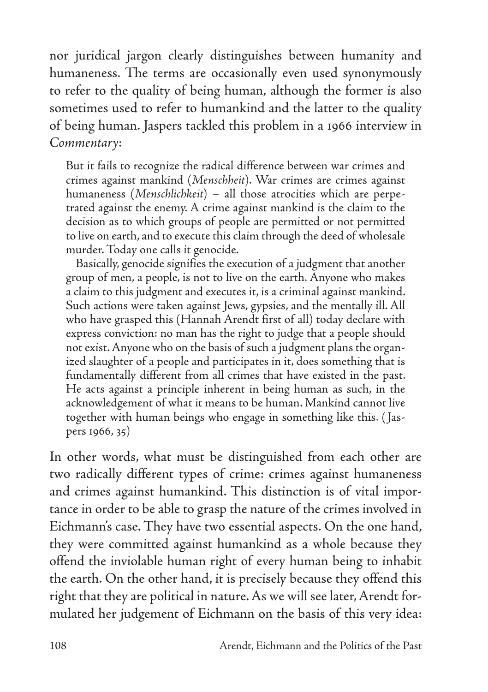nor juridical jargon clearly distinguishes between humanity and humaneness. The terms are occasionally even used synonymously to refer to the quality of being human, although the former is also sometimes used to refer to humankind and the latter to the quality of being human. Jaspers tackled this problem in a 1966 interview in *Commentary*:

But it fails to recognize the radical difference between war crimes and crimes against mankind (*Menschheit*). War crimes are crimes against humaneness (*Menschlichkeit*) – all those atrocities which are perpetrated against the enemy. A crime against mankind is the claim to the decision as to which groups of people are permitted or not permitted to live on earth, and to execute this claim through the deed of wholesale murder. Today one calls it genocide.

Basically, genocide signifies the execution of a judgment that another group of men, a people, is not to live on the earth. Anyone who makes a claim to this judgment and executes it, is a criminal against mankind. Such actions were taken against Jews, gypsies, and the mentally ill. All who have grasped this (Hannah Arendt first of all) today declare with express conviction: no man has the right to judge that a people should not exist. Anyone who on the basis of such a judgment plans the organized slaughter of a people and participates in it, does something that is fundamentally different from all crimes that have existed in the past. He acts against a principle inherent in being human as such, in the acknowledgement of what it means to be human. Mankind cannot live together with human beings who engage in something like this. ( Jaspers 1966, 35)

In other words, what must be distinguished from each other are two radically different types of crime: crimes against humaneness and crimes against humankind. This distinction is of vital importance in order to be able to grasp the nature of the crimes involved in Eichmann's case. They have two essential aspects. On the one hand, they were committed against humankind as a whole because they offend the inviolable human right of every human being to inhabit the earth. On the other hand, it is precisely because they offend this right that they are political in nature. As we will see later, Arendt formulated her judgement of Eichmann on the basis of this very idea: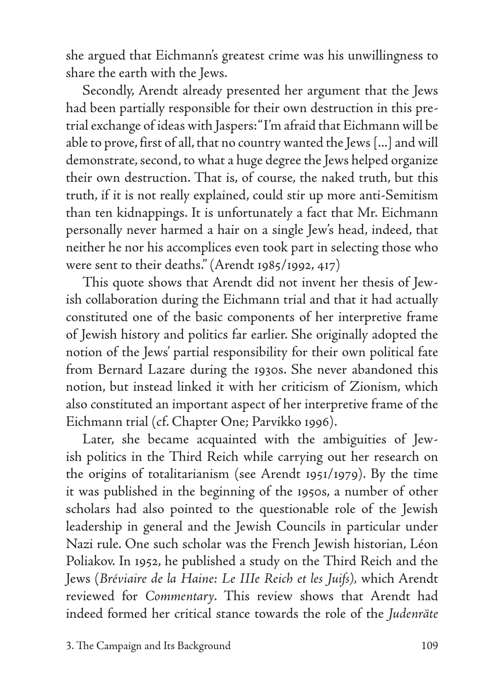she argued that Eichmann's greatest crime was his unwillingness to share the earth with the Jews.

Secondly, Arendt already presented her argument that the Jews had been partially responsible for their own destruction in this pretrial exchange of ideas with Jaspers: "I'm afraid that Eichmann will be able to prove, first of all, that no country wanted the Jews [...] and will demonstrate, second, to what a huge degree the Jews helped organize their own destruction. That is, of course, the naked truth, but this truth, if it is not really explained, could stir up more anti-Semitism than ten kidnappings. It is unfortunately a fact that Mr. Eichmann personally never harmed a hair on a single Jew's head, indeed, that neither he nor his accomplices even took part in selecting those who were sent to their deaths." (Arendt 1985/1992, 417)

This quote shows that Arendt did not invent her thesis of Jewish collaboration during the Eichmann trial and that it had actually constituted one of the basic components of her interpretive frame of Jewish history and politics far earlier. She originally adopted the notion of the Jews' partial responsibility for their own political fate from Bernard Lazare during the 1930s. She never abandoned this notion, but instead linked it with her criticism of Zionism, which also constituted an important aspect of her interpretive frame of the Eichmann trial (cf. Chapter One; Parvikko 1996).

Later, she became acquainted with the ambiguities of Jewish politics in the Third Reich while carrying out her research on the origins of totalitarianism (see Arendt 1951/1979). By the time it was published in the beginning of the 1950s, a number of other scholars had also pointed to the questionable role of the Jewish leadership in general and the Jewish Councils in particular under Nazi rule. One such scholar was the French Jewish historian, Léon Poliakov. In 1952, he published a study on the Third Reich and the Jews (*Bréviaire de la Haine: Le IIIe Reich et les Juifs),* which Arendt reviewed for *Commentary*. This review shows that Arendt had indeed formed her critical stance towards the role of the *Judenräte*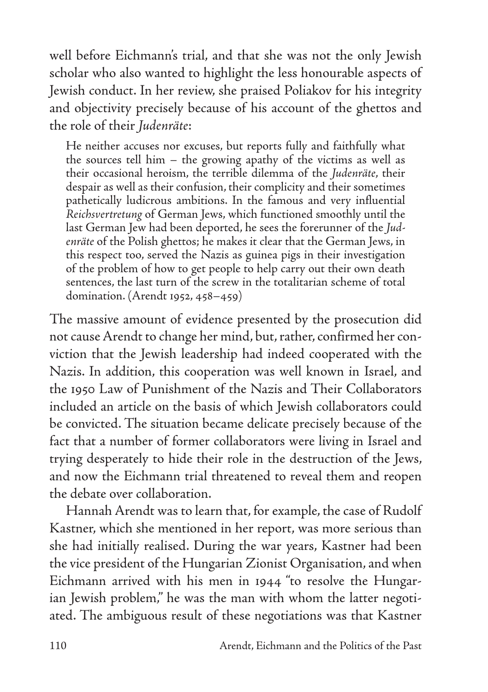well before Eichmann's trial, and that she was not the only Jewish scholar who also wanted to highlight the less honourable aspects of Jewish conduct. In her review, she praised Poliakov for his integrity and objectivity precisely because of his account of the ghettos and the role of their *Judenräte*:

He neither accuses nor excuses, but reports fully and faithfully what the sources tell him – the growing apathy of the victims as well as their occasional heroism, the terrible dilemma of the *Judenräte*, their despair as well as their confusion, their complicity and their sometimes pathetically ludicrous ambitions. In the famous and very influential *Reichsvertretung* of German Jews, which functioned smoothly until the last German Jew had been deported, he sees the forerunner of the *Judenräte* of the Polish ghettos; he makes it clear that the German Jews, in this respect too, served the Nazis as guinea pigs in their investigation of the problem of how to get people to help carry out their own death sentences, the last turn of the screw in the totalitarian scheme of total domination. (Arendt 1952, 458–459)

The massive amount of evidence presented by the prosecution did not cause Arendt to change her mind, but, rather, confirmed her conviction that the Jewish leadership had indeed cooperated with the Nazis. In addition, this cooperation was well known in Israel, and the 1950 Law of Punishment of the Nazis and Their Collaborators included an article on the basis of which Jewish collaborators could be convicted. The situation became delicate precisely because of the fact that a number of former collaborators were living in Israel and trying desperately to hide their role in the destruction of the Jews, and now the Eichmann trial threatened to reveal them and reopen the debate over collaboration.

Hannah Arendt was to learn that, for example, the case of Rudolf Kastner, which she mentioned in her report, was more serious than she had initially realised. During the war years, Kastner had been the vice president of the Hungarian Zionist Organisation, and when Eichmann arrived with his men in 1944 "to resolve the Hungarian Jewish problem," he was the man with whom the latter negotiated. The ambiguous result of these negotiations was that Kastner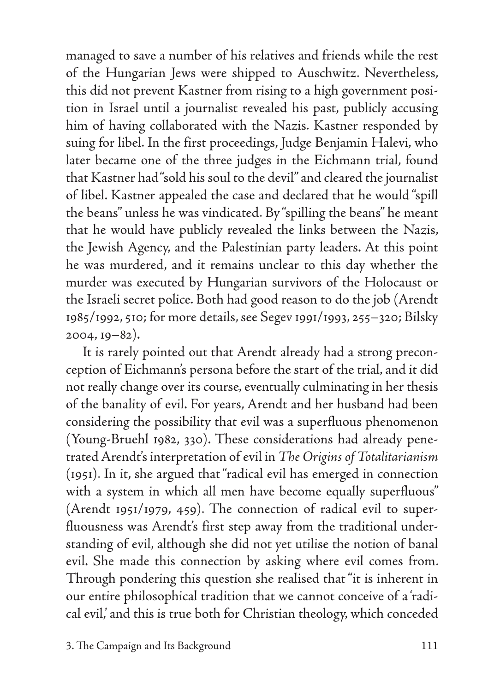managed to save a number of his relatives and friends while the rest of the Hungarian Jews were shipped to Auschwitz. Nevertheless, this did not prevent Kastner from rising to a high government position in Israel until a journalist revealed his past, publicly accusing him of having collaborated with the Nazis. Kastner responded by suing for libel. In the first proceedings, Judge Benjamin Halevi, who later became one of the three judges in the Eichmann trial, found that Kastner had "sold his soul to the devil" and cleared the journalist of libel. Kastner appealed the case and declared that he would "spill the beans" unless he was vindicated. By "spilling the beans" he meant that he would have publicly revealed the links between the Nazis, the Jewish Agency, and the Palestinian party leaders. At this point he was murdered, and it remains unclear to this day whether the murder was executed by Hungarian survivors of the Holocaust or the Israeli secret police. Both had good reason to do the job (Arendt 1985/1992, 510; for more details, see Segev 1991/1993, 255–320; Bilsky 2004, 19–82).

It is rarely pointed out that Arendt already had a strong preconception of Eichmann's persona before the start of the trial, and it did not really change over its course, eventually culminating in her thesis of the banality of evil. For years, Arendt and her husband had been considering the possibility that evil was a superfluous phenomenon (Young-Bruehl 1982, 330). These considerations had already penetrated Arendt's interpretation of evil in *The Origins of Totalitarianism* (1951). In it, she argued that "radical evil has emerged in connection with a system in which all men have become equally superfluous" (Arendt 1951/1979, 459). The connection of radical evil to superfluousness was Arendt's first step away from the traditional understanding of evil, although she did not yet utilise the notion of banal evil. She made this connection by asking where evil comes from. Through pondering this question she realised that "it is inherent in our entire philosophical tradition that we cannot conceive of a 'radical evil,' and this is true both for Christian theology, which conceded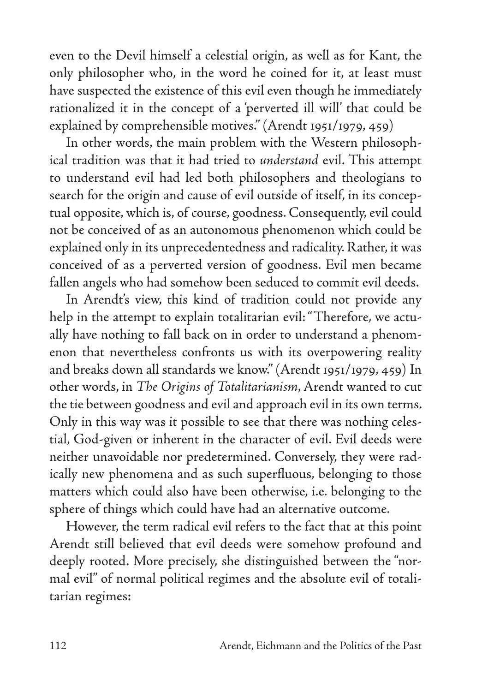even to the Devil himself a celestial origin, as well as for Kant, the only philosopher who, in the word he coined for it, at least must have suspected the existence of this evil even though he immediately rationalized it in the concept of a 'perverted ill will' that could be explained by comprehensible motives." (Arendt 1951/1979, 459)

In other words, the main problem with the Western philosophical tradition was that it had tried to *understand* evil. This attempt to understand evil had led both philosophers and theologians to search for the origin and cause of evil outside of itself, in its conceptual opposite, which is, of course, goodness. Consequently, evil could not be conceived of as an autonomous phenomenon which could be explained only in its unprecedentedness and radicality. Rather, it was conceived of as a perverted version of goodness. Evil men became fallen angels who had somehow been seduced to commit evil deeds.

In Arendt's view, this kind of tradition could not provide any help in the attempt to explain totalitarian evil: "Therefore, we actually have nothing to fall back on in order to understand a phenomenon that nevertheless confronts us with its overpowering reality and breaks down all standards we know." (Arendt 1951/1979, 459) In other words, in *The Origins of Totalitarianism*, Arendt wanted to cut the tie between goodness and evil and approach evil in its own terms. Only in this way was it possible to see that there was nothing celestial, God-given or inherent in the character of evil. Evil deeds were neither unavoidable nor predetermined. Conversely, they were radically new phenomena and as such superfluous, belonging to those matters which could also have been otherwise, i.e. belonging to the sphere of things which could have had an alternative outcome.

However, the term radical evil refers to the fact that at this point Arendt still believed that evil deeds were somehow profound and deeply rooted. More precisely, she distinguished between the "normal evil" of normal political regimes and the absolute evil of totalitarian regimes: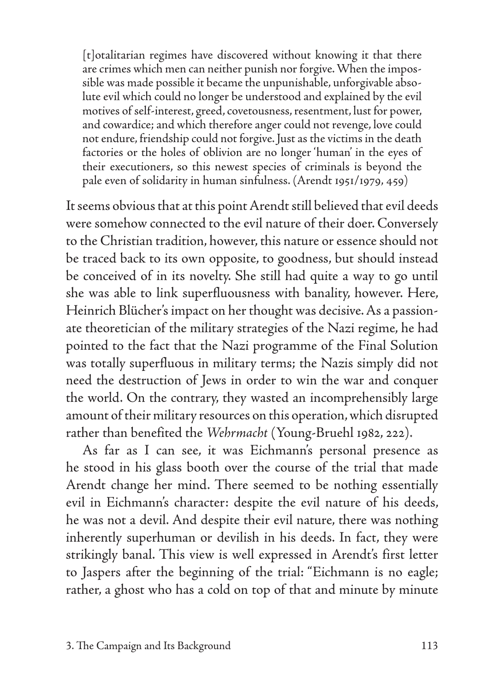[t]otalitarian regimes have discovered without knowing it that there are crimes which men can neither punish nor forgive. When the impossible was made possible it became the unpunishable, unforgivable absolute evil which could no longer be understood and explained by the evil motives of self-interest, greed, covetousness, resentment, lust for power, and cowardice; and which therefore anger could not revenge, love could not endure, friendship could not forgive. Just as the victims in the death factories or the holes of oblivion are no longer 'human' in the eyes of their executioners, so this newest species of criminals is beyond the pale even of solidarity in human sinfulness. (Arendt 1951/1979, 459)

It seems obvious that at this point Arendt still believed that evil deeds were somehow connected to the evil nature of their doer. Conversely to the Christian tradition, however, this nature or essence should not be traced back to its own opposite, to goodness, but should instead be conceived of in its novelty. She still had quite a way to go until she was able to link superfluousness with banality, however. Here, Heinrich Blücher's impact on her thought was decisive. As a passionate theoretician of the military strategies of the Nazi regime, he had pointed to the fact that the Nazi programme of the Final Solution was totally superfluous in military terms; the Nazis simply did not need the destruction of Jews in order to win the war and conquer the world. On the contrary, they wasted an incomprehensibly large amount of their military resources on this operation, which disrupted rather than benefited the *Wehrmacht* (Young-Bruehl 1982, 222).

As far as I can see, it was Eichmann's personal presence as he stood in his glass booth over the course of the trial that made Arendt change her mind. There seemed to be nothing essentially evil in Eichmann's character: despite the evil nature of his deeds, he was not a devil. And despite their evil nature, there was nothing inherently superhuman or devilish in his deeds. In fact, they were strikingly banal. This view is well expressed in Arendt's first letter to Jaspers after the beginning of the trial: "Eichmann is no eagle; rather, a ghost who has a cold on top of that and minute by minute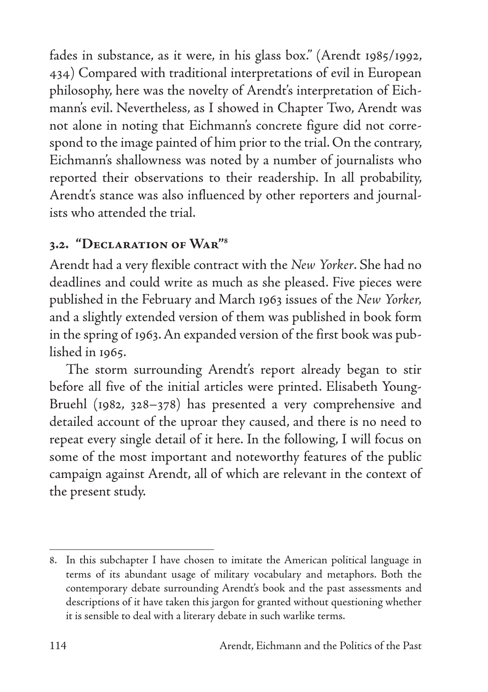fades in substance, as it were, in his glass box." (Arendt 1985/1992, 434) Compared with traditional interpretations of evil in European philosophy, here was the novelty of Arendt's interpretation of Eichmann's evil. Nevertheless, as I showed in Chapter Two, Arendt was not alone in noting that Eichmann's concrete figure did not correspond to the image painted of him prior to the trial. On the contrary, Eichmann's shallowness was noted by a number of journalists who reported their observations to their readership. In all probability, Arendt's stance was also influenced by other reporters and journalists who attended the trial.

## **3.2. "Declaration of War"8**

Arendt had a very flexible contract with the *New Yorker*. She had no deadlines and could write as much as she pleased. Five pieces were published in the February and March 1963 issues of the *New Yorker,*  and a slightly extended version of them was published in book form in the spring of 1963. An expanded version of the first book was published in 1965.

The storm surrounding Arendt's report already began to stir before all five of the initial articles were printed. Elisabeth Young-Bruehl (1982, 328–378) has presented a very comprehensive and detailed account of the uproar they caused, and there is no need to repeat every single detail of it here. In the following, I will focus on some of the most important and noteworthy features of the public campaign against Arendt, all of which are relevant in the context of the present study.

<sup>8.</sup> In this subchapter I have chosen to imitate the American political language in terms of its abundant usage of military vocabulary and metaphors. Both the contemporary debate surrounding Arendt's book and the past assessments and descriptions of it have taken this jargon for granted without questioning whether it is sensible to deal with a literary debate in such warlike terms.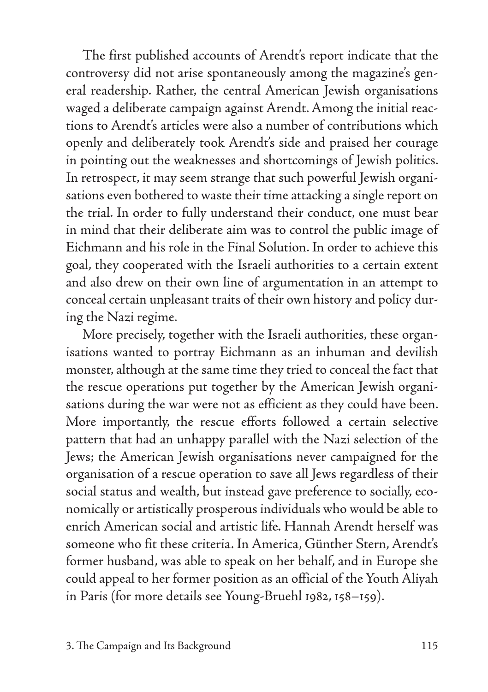The first published accounts of Arendt's report indicate that the controversy did not arise spontaneously among the magazine's general readership. Rather, the central American Jewish organisations waged a deliberate campaign against Arendt. Among the initial reactions to Arendt's articles were also a number of contributions which openly and deliberately took Arendt's side and praised her courage in pointing out the weaknesses and shortcomings of Jewish politics. In retrospect, it may seem strange that such powerful Jewish organisations even bothered to waste their time attacking a single report on the trial. In order to fully understand their conduct, one must bear in mind that their deliberate aim was to control the public image of Eichmann and his role in the Final Solution. In order to achieve this goal, they cooperated with the Israeli authorities to a certain extent and also drew on their own line of argumentation in an attempt to conceal certain unpleasant traits of their own history and policy during the Nazi regime.

More precisely, together with the Israeli authorities, these organisations wanted to portray Eichmann as an inhuman and devilish monster, although at the same time they tried to conceal the fact that the rescue operations put together by the American Jewish organisations during the war were not as efficient as they could have been. More importantly, the rescue efforts followed a certain selective pattern that had an unhappy parallel with the Nazi selection of the Jews; the American Jewish organisations never campaigned for the organisation of a rescue operation to save all Jews regardless of their social status and wealth, but instead gave preference to socially, economically or artistically prosperous individuals who would be able to enrich American social and artistic life. Hannah Arendt herself was someone who fit these criteria. In America, Günther Stern, Arendt's former husband, was able to speak on her behalf, and in Europe she could appeal to her former position as an official of the Youth Aliyah in Paris (for more details see Young-Bruehl 1982, 158–159).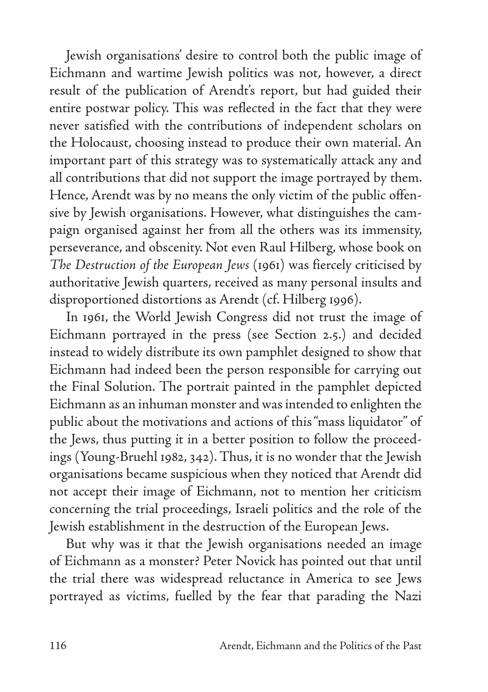Jewish organisations' desire to control both the public image of Eichmann and wartime Jewish politics was not, however, a direct result of the publication of Arendt's report, but had guided their entire postwar policy. This was reflected in the fact that they were never satisfied with the contributions of independent scholars on the Holocaust, choosing instead to produce their own material. An important part of this strategy was to systematically attack any and all contributions that did not support the image portrayed by them. Hence, Arendt was by no means the only victim of the public offensive by Jewish organisations. However, what distinguishes the campaign organised against her from all the others was its immensity, perseverance, and obscenity. Not even Raul Hilberg, whose book on *The Destruction of the European Jews* (1961) was fiercely criticised by authoritative Jewish quarters, received as many personal insults and disproportioned distortions as Arendt (cf. Hilberg 1996).

In 1961, the World Jewish Congress did not trust the image of Eichmann portrayed in the press (see Section 2.5.) and decided instead to widely distribute its own pamphlet designed to show that Eichmann had indeed been the person responsible for carrying out the Final Solution. The portrait painted in the pamphlet depicted Eichmann as an inhuman monster and was intended to enlighten the public about the motivations and actions of this "mass liquidator" of the Jews, thus putting it in a better position to follow the proceedings (Young-Bruehl 1982, 342). Thus, it is no wonder that the Jewish organisations became suspicious when they noticed that Arendt did not accept their image of Eichmann, not to mention her criticism concerning the trial proceedings, Israeli politics and the role of the Jewish establishment in the destruction of the European Jews.

But why was it that the Jewish organisations needed an image of Eichmann as a monster? Peter Novick has pointed out that until the trial there was widespread reluctance in America to see Jews portrayed as victims, fuelled by the fear that parading the Nazi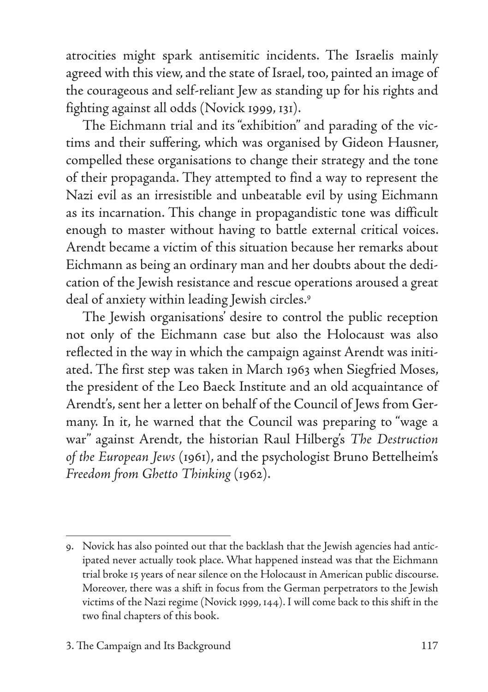atrocities might spark antisemitic incidents. The Israelis mainly agreed with this view, and the state of Israel, too, painted an image of the courageous and self-reliant Jew as standing up for his rights and fighting against all odds (Novick 1999, 131).

The Eichmann trial and its "exhibition" and parading of the victims and their suffering, which was organised by Gideon Hausner, compelled these organisations to change their strategy and the tone of their propaganda. They attempted to find a way to represent the Nazi evil as an irresistible and unbeatable evil by using Eichmann as its incarnation. This change in propagandistic tone was difficult enough to master without having to battle external critical voices. Arendt became a victim of this situation because her remarks about Eichmann as being an ordinary man and her doubts about the dedication of the Jewish resistance and rescue operations aroused a great deal of anxiety within leading Jewish circles.9

The Jewish organisations' desire to control the public reception not only of the Eichmann case but also the Holocaust was also reflected in the way in which the campaign against Arendt was initiated. The first step was taken in March 1963 when Siegfried Moses, the president of the Leo Baeck Institute and an old acquaintance of Arendt's, sent her a letter on behalf of the Council of Jews from Germany. In it, he warned that the Council was preparing to "wage a war" against Arendt, the historian Raul Hilberg's *The Destruction of the European Jews* (1961), and the psychologist Bruno Bettelheim's *Freedom from Ghetto Thinking* (1962).

<sup>9.</sup> Novick has also pointed out that the backlash that the Jewish agencies had anticipated never actually took place. What happened instead was that the Eichmann trial broke 15 years of near silence on the Holocaust in American public discourse. Moreover, there was a shift in focus from the German perpetrators to the Jewish victims of the Nazi regime (Novick 1999, 144). I will come back to this shift in the two final chapters of this book.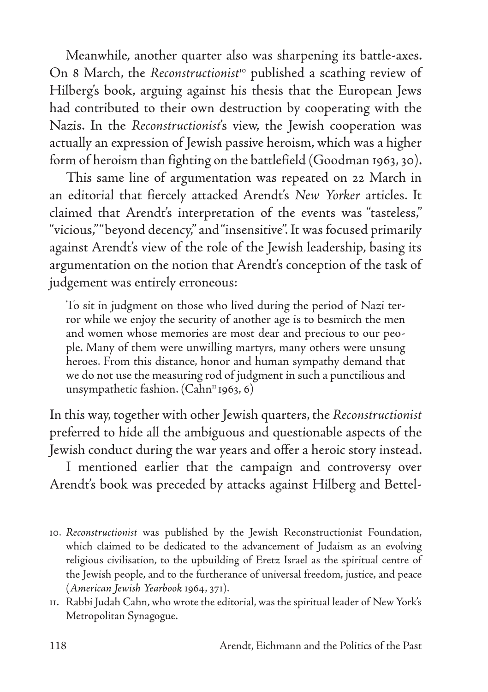Meanwhile, another quarter also was sharpening its battle-axes. On 8 March, the *Reconstructionist<sup>to</sup>* published a scathing review of Hilberg's book, arguing against his thesis that the European Jews had contributed to their own destruction by cooperating with the Nazis. In the *Reconstructionist*'s view, the Jewish cooperation was actually an expression of Jewish passive heroism, which was a higher form of heroism than fighting on the battlefield (Goodman 1963, 30).

This same line of argumentation was repeated on 22 March in an editorial that fiercely attacked Arendt's *New Yorker* articles. It claimed that Arendt's interpretation of the events was "tasteless," "vicious," "beyond decency," and "insensitive". It was focused primarily against Arendt's view of the role of the Jewish leadership, basing its argumentation on the notion that Arendt's conception of the task of judgement was entirely erroneous:

To sit in judgment on those who lived during the period of Nazi terror while we enjoy the security of another age is to besmirch the men and women whose memories are most dear and precious to our people. Many of them were unwilling martyrs, many others were unsung heroes. From this distance, honor and human sympathy demand that we do not use the measuring rod of judgment in such a punctilious and unsympathetic fashion.  $(Cahn<sup>n</sup> 1963, 6)$ 

In this way, together with other Jewish quarters, the *Reconstructionist*  preferred to hide all the ambiguous and questionable aspects of the Jewish conduct during the war years and offer a heroic story instead.

I mentioned earlier that the campaign and controversy over Arendt's book was preceded by attacks against Hilberg and Bettel-

<sup>10.</sup> *Reconstructionist* was published by the Jewish Reconstructionist Foundation, which claimed to be dedicated to the advancement of Judaism as an evolving religious civilisation, to the upbuilding of Eretz Israel as the spiritual centre of the Jewish people, and to the furtherance of universal freedom, justice, and peace (*American Jewish Yearbook* 1964, 371).

<sup>11.</sup> Rabbi Judah Cahn, who wrote the editorial, was the spiritual leader of New York's Metropolitan Synagogue.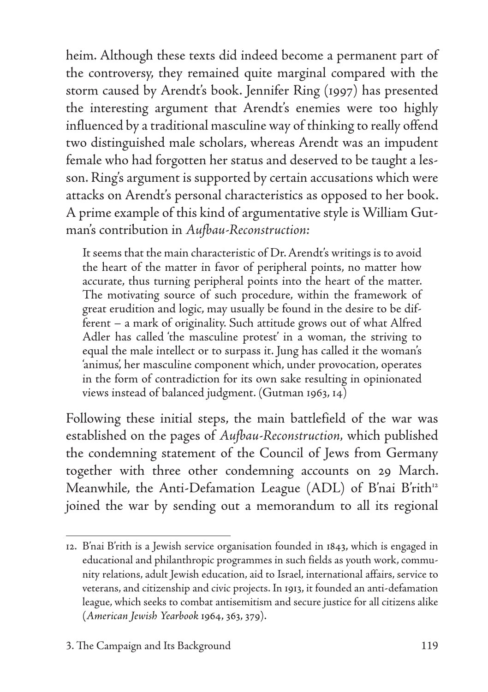heim. Although these texts did indeed become a permanent part of the controversy, they remained quite marginal compared with the storm caused by Arendt's book. Jennifer Ring (1997) has presented the interesting argument that Arendt's enemies were too highly influenced by a traditional masculine way of thinking to really offend two distinguished male scholars, whereas Arendt was an impudent female who had forgotten her status and deserved to be taught a lesson. Ring's argument is supported by certain accusations which were attacks on Arendt's personal characteristics as opposed to her book. A prime example of this kind of argumentative style is William Gutman's contribution in *Aufbau-Reconstruction:*

It seems that the main characteristic of Dr. Arendt's writings is to avoid the heart of the matter in favor of peripheral points, no matter how accurate, thus turning peripheral points into the heart of the matter. The motivating source of such procedure, within the framework of great erudition and logic, may usually be found in the desire to be different – a mark of originality. Such attitude grows out of what Alfred Adler has called 'the masculine protest' in a woman, the striving to equal the male intellect or to surpass it. Jung has called it the woman's 'animus', her masculine component which, under provocation, operates in the form of contradiction for its own sake resulting in opinionated views instead of balanced judgment. (Gutman 1963, 14)

Following these initial steps, the main battlefield of the war was established on the pages of *Aufbau-Reconstruction,* which published the condemning statement of the Council of Jews from Germany together with three other condemning accounts on 29 March. Meanwhile, the Anti-Defamation League (ADL) of B'nai B'rith<sup>12</sup> joined the war by sending out a memorandum to all its regional

<sup>12.</sup> B'nai B'rith is a Jewish service organisation founded in 1843, which is engaged in educational and philanthropic programmes in such fields as youth work, community relations, adult Jewish education, aid to Israel, international affairs, service to veterans, and citizenship and civic projects. In 1913, it founded an anti-defamation league, which seeks to combat antisemitism and secure justice for all citizens alike (*American Jewish Yearbook* 1964, 363, 379).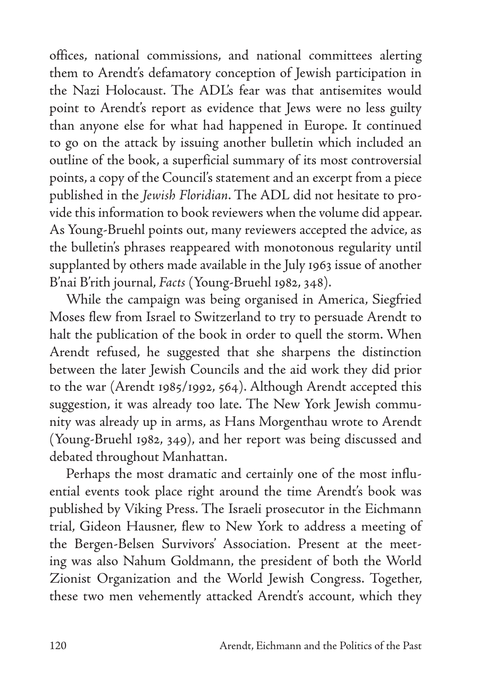offices, national commissions, and national committees alerting them to Arendt's defamatory conception of Jewish participation in the Nazi Holocaust. The ADL's fear was that antisemites would point to Arendt's report as evidence that Jews were no less guilty than anyone else for what had happened in Europe. It continued to go on the attack by issuing another bulletin which included an outline of the book, a superficial summary of its most controversial points, a copy of the Council's statement and an excerpt from a piece published in the *Jewish Floridian*. The ADL did not hesitate to provide this information to book reviewers when the volume did appear. As Young-Bruehl points out, many reviewers accepted the advice, as the bulletin's phrases reappeared with monotonous regularity until supplanted by others made available in the July 1963 issue of another B'nai B'rith journal, *Facts* (Young-Bruehl 1982, 348).

While the campaign was being organised in America, Siegfried Moses flew from Israel to Switzerland to try to persuade Arendt to halt the publication of the book in order to quell the storm. When Arendt refused, he suggested that she sharpens the distinction between the later Jewish Councils and the aid work they did prior to the war (Arendt 1985/1992, 564). Although Arendt accepted this suggestion, it was already too late. The New York Jewish community was already up in arms, as Hans Morgenthau wrote to Arendt (Young-Bruehl 1982, 349), and her report was being discussed and debated throughout Manhattan.

Perhaps the most dramatic and certainly one of the most influential events took place right around the time Arendt's book was published by Viking Press. The Israeli prosecutor in the Eichmann trial, Gideon Hausner, flew to New York to address a meeting of the Bergen-Belsen Survivors' Association. Present at the meeting was also Nahum Goldmann, the president of both the World Zionist Organization and the World Jewish Congress. Together, these two men vehemently attacked Arendt's account, which they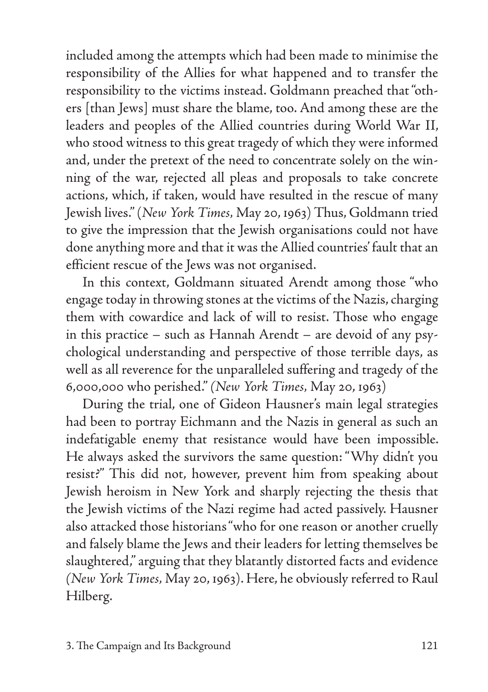included among the attempts which had been made to minimise the responsibility of the Allies for what happened and to transfer the responsibility to the victims instead. Goldmann preached that "others [than Jews] must share the blame, too. And among these are the leaders and peoples of the Allied countries during World War II, who stood witness to this great tragedy of which they were informed and, under the pretext of the need to concentrate solely on the winning of the war, rejected all pleas and proposals to take concrete actions, which, if taken, would have resulted in the rescue of many Jewish lives." (*New York Times,* May 20, 1963) Thus, Goldmann tried to give the impression that the Jewish organisations could not have done anything more and that it was the Allied countries' fault that an efficient rescue of the Jews was not organised.

In this context, Goldmann situated Arendt among those "who engage today in throwing stones at the victims of the Nazis, charging them with cowardice and lack of will to resist. Those who engage in this practice – such as Hannah Arendt – are devoid of any psychological understanding and perspective of those terrible days, as well as all reverence for the unparalleled suffering and tragedy of the 6,000,000 who perished." *(New York Times,* May 20, 1963)

During the trial, one of Gideon Hausner's main legal strategies had been to portray Eichmann and the Nazis in general as such an indefatigable enemy that resistance would have been impossible. He always asked the survivors the same question: "Why didn't you resist?" This did not, however, prevent him from speaking about Jewish heroism in New York and sharply rejecting the thesis that the Jewish victims of the Nazi regime had acted passively. Hausner also attacked those historians "who for one reason or another cruelly and falsely blame the Jews and their leaders for letting themselves be slaughtered," arguing that they blatantly distorted facts and evidence *(New York Times,* May 20, 1963). Here, he obviously referred to Raul Hilberg.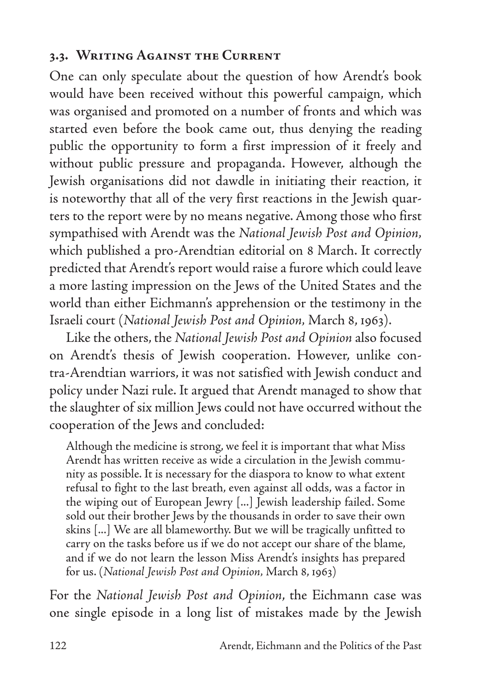### **3.3. Writing Against the Current**

One can only speculate about the question of how Arendt's book would have been received without this powerful campaign, which was organised and promoted on a number of fronts and which was started even before the book came out, thus denying the reading public the opportunity to form a first impression of it freely and without public pressure and propaganda. However, although the Jewish organisations did not dawdle in initiating their reaction, it is noteworthy that all of the very first reactions in the Jewish quarters to the report were by no means negative. Among those who first sympathised with Arendt was the *National Jewish Post and Opinion,*  which published a pro-Arendtian editorial on 8 March. It correctly predicted that Arendt's report would raise a furore which could leave a more lasting impression on the Jews of the United States and the world than either Eichmann's apprehension or the testimony in the Israeli court (*National Jewish Post and Opinion,* March 8, 1963).

Like the others, the *National Jewish Post and Opinion* also focused on Arendt's thesis of Jewish cooperation. However, unlike contra-Arendtian warriors, it was not satisfied with Jewish conduct and policy under Nazi rule. It argued that Arendt managed to show that the slaughter of six million Jews could not have occurred without the cooperation of the Jews and concluded:

Although the medicine is strong, we feel it is important that what Miss Arendt has written receive as wide a circulation in the Jewish community as possible. It is necessary for the diaspora to know to what extent refusal to fight to the last breath, even against all odds, was a factor in the wiping out of European Jewry [...] Jewish leadership failed. Some sold out their brother Jews by the thousands in order to save their own skins [...] We are all blameworthy. But we will be tragically unfitted to carry on the tasks before us if we do not accept our share of the blame, and if we do not learn the lesson Miss Arendt's insights has prepared for us. (*National Jewish Post and Opinion,* March 8, 1963)

For the *National Jewish Post and Opinion*, the Eichmann case was one single episode in a long list of mistakes made by the Jewish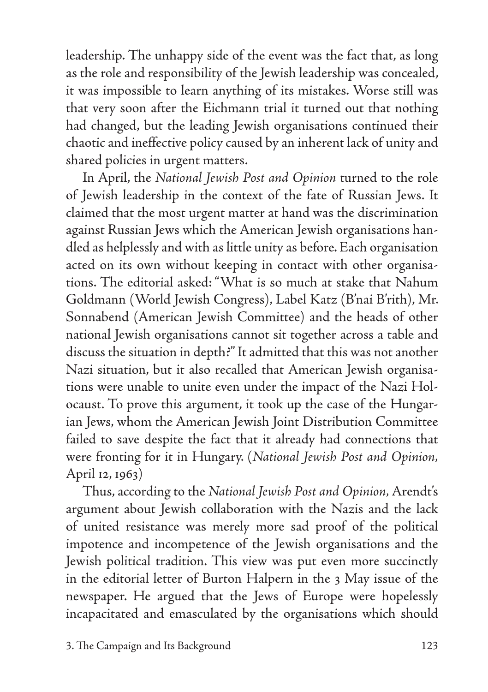leadership. The unhappy side of the event was the fact that, as long as the role and responsibility of the Jewish leadership was concealed, it was impossible to learn anything of its mistakes. Worse still was that very soon after the Eichmann trial it turned out that nothing had changed, but the leading Jewish organisations continued their chaotic and ineffective policy caused by an inherent lack of unity and shared policies in urgent matters.

In April, the *National Jewish Post and Opinion* turned to the role of Jewish leadership in the context of the fate of Russian Jews. It claimed that the most urgent matter at hand was the discrimination against Russian Jews which the American Jewish organisations handled as helplessly and with as little unity as before. Each organisation acted on its own without keeping in contact with other organisations. The editorial asked: "What is so much at stake that Nahum Goldmann (World Jewish Congress), Label Katz (B'nai B'rith), Mr. Sonnabend (American Jewish Committee) and the heads of other national Jewish organisations cannot sit together across a table and discuss the situation in depth?" It admitted that this was not another Nazi situation, but it also recalled that American Jewish organisations were unable to unite even under the impact of the Nazi Holocaust. To prove this argument, it took up the case of the Hungarian Jews, whom the American Jewish Joint Distribution Committee failed to save despite the fact that it already had connections that were fronting for it in Hungary. (*National Jewish Post and Opinion,* April 12, 1963)

Thus, according to the *National Jewish Post and Opinion,* Arendt's argument about Jewish collaboration with the Nazis and the lack of united resistance was merely more sad proof of the political impotence and incompetence of the Jewish organisations and the Jewish political tradition. This view was put even more succinctly in the editorial letter of Burton Halpern in the 3 May issue of the newspaper. He argued that the Jews of Europe were hopelessly incapacitated and emasculated by the organisations which should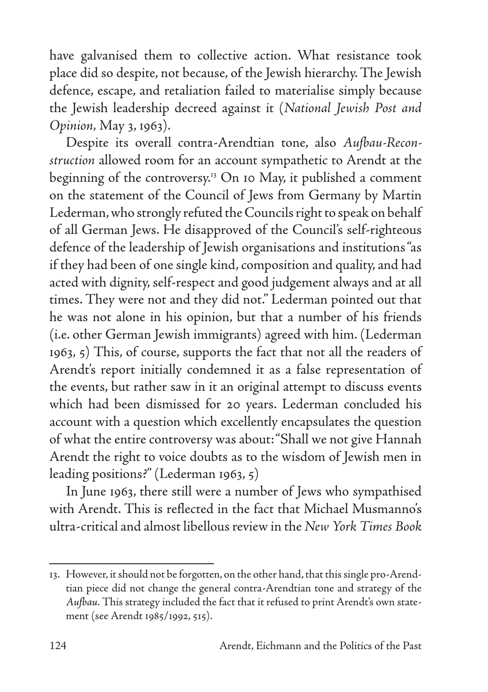have galvanised them to collective action. What resistance took place did so despite, not because, of the Jewish hierarchy. The Jewish defence, escape, and retaliation failed to materialise simply because the Jewish leadership decreed against it (*National Jewish Post and Opinion,* May 3, 1963).

Despite its overall contra-Arendtian tone, also *Aufbau-Reconstruction* allowed room for an account sympathetic to Arendt at the beginning of the controversy.13 On 10 May, it published a comment on the statement of the Council of Jews from Germany by Martin Lederman, who strongly refuted the Councils right to speak on behalf of all German Jews. He disapproved of the Council's self-righteous defence of the leadership of Jewish organisations and institutions "as if they had been of one single kind, composition and quality, and had acted with dignity, self-respect and good judgement always and at all times. They were not and they did not.'' Lederman pointed out that he was not alone in his opinion, but that a number of his friends (i.e. other German Jewish immigrants) agreed with him. (Lederman 1963, 5) This, of course, supports the fact that not all the readers of Arendt's report initially condemned it as a false representation of the events, but rather saw in it an original attempt to discuss events which had been dismissed for 20 years. Lederman concluded his account with a question which excellently encapsulates the question of what the entire controversy was about: "Shall we not give Hannah Arendt the right to voice doubts as to the wisdom of Jewish men in leading positions?" (Lederman 1963, 5)

In June 1963, there still were a number of Jews who sympathised with Arendt. This is reflected in the fact that Michael Musmanno's ultra-critical and almost libellous review in the *New York Times Book*

<sup>13.</sup> However, it should not be forgotten, on the other hand, that this single pro-Arendtian piece did not change the general contra-Arendtian tone and strategy of the *Aufbau.* This strategy included the fact that it refused to print Arendt's own statement (see Arendt 1985/1992, 515).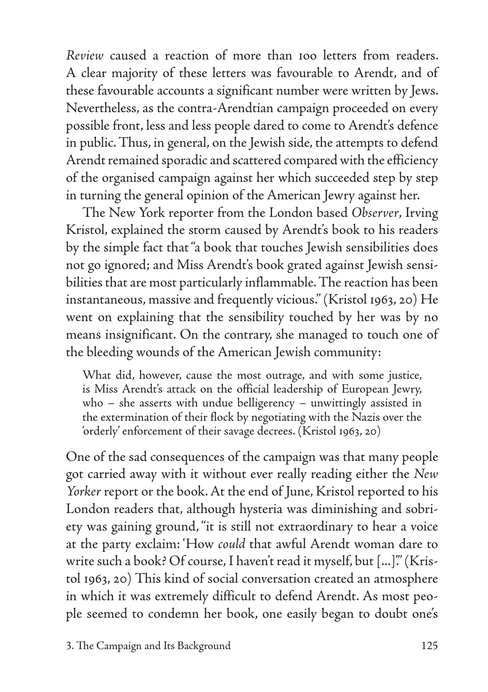*Review* caused a reaction of more than 1oo letters from readers. A clear majority of these letters was favourable to Arendt, and of these favourable accounts a significant number were written by Jews. Nevertheless, as the contra-Arendtian campaign proceeded on every possible front, less and less people dared to come to Arendt's defence in public. Thus, in general, on the Jewish side, the attempts to defend Arendt remained sporadic and scattered compared with the efficiency of the organised campaign against her which succeeded step by step in turning the general opinion of the American Jewry against her.

The New York reporter from the London based *Observer*, Irving Kristol, explained the storm caused by Arendt's book to his readers by the simple fact that "a book that touches Jewish sensibilities does not go ignored; and Miss Arendt's book grated against Jewish sensibilities that are most particularly inflammable. The reaction has been instantaneous, massive and frequently vicious." (Kristol 1963, 20) He went on explaining that the sensibility touched by her was by no means insignificant. On the contrary, she managed to touch one of the bleeding wounds of the American Jewish community:

What did, however, cause the most outrage, and with some justice, is Miss Arendt's attack on the official leadership of European Jewry, who – she asserts with undue belligerency – unwittingly assisted in the extermination of their flock by negotiating with the Nazis over the 'orderly' enforcement of their savage decrees. (Kristol 1963, 20)

One of the sad consequences of the campaign was that many people got carried away with it without ever really reading either the *New Yorker* report or the book. At the end of June, Kristol reported to his London readers that, although hysteria was diminishing and sobriety was gaining ground, "it is still not extraordinary to hear a voice at the party exclaim: 'How *could* that awful Arendt woman dare to write such a book? Of course, I haven't read it myself, but [...]'." (Kristol 1963, 20) This kind of social conversation created an atmosphere in which it was extremely difficult to defend Arendt. As most people seemed to condemn her book, one easily began to doubt one's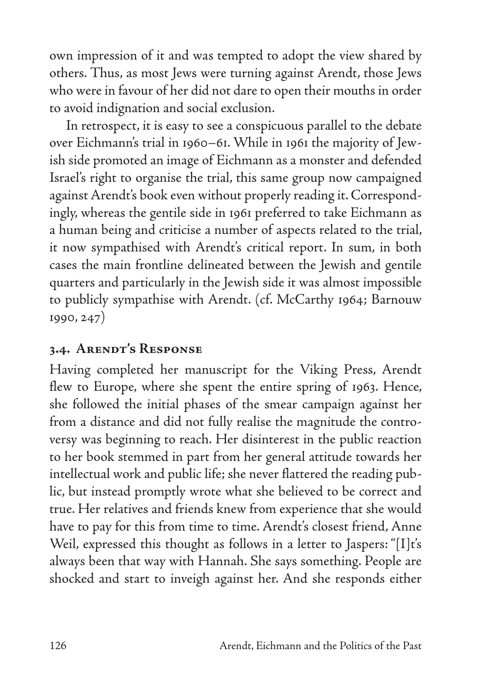own impression of it and was tempted to adopt the view shared by others. Thus, as most Jews were turning against Arendt, those Jews who were in favour of her did not dare to open their mouths in order to avoid indignation and social exclusion.

In retrospect, it is easy to see a conspicuous parallel to the debate over Eichmann's trial in 1960–61. While in 1961 the majority of Jewish side promoted an image of Eichmann as a monster and defended Israel's right to organise the trial, this same group now campaigned against Arendt's book even without properly reading it. Correspondingly, whereas the gentile side in 1961 preferred to take Eichmann as a human being and criticise a number of aspects related to the trial, it now sympathised with Arendt's critical report. In sum, in both cases the main frontline delineated between the Jewish and gentile quarters and particularly in the Jewish side it was almost impossible to publicly sympathise with Arendt. (cf. McCarthy 1964; Barnouw 1990, 247)

### **3.4. Arendt's Response**

Having completed her manuscript for the Viking Press, Arendt flew to Europe, where she spent the entire spring of 1963. Hence, she followed the initial phases of the smear campaign against her from a distance and did not fully realise the magnitude the controversy was beginning to reach. Her disinterest in the public reaction to her book stemmed in part from her general attitude towards her intellectual work and public life; she never flattered the reading public, but instead promptly wrote what she believed to be correct and true. Her relatives and friends knew from experience that she would have to pay for this from time to time. Arendt's closest friend, Anne Weil, expressed this thought as follows in a letter to Jaspers: "[I]t's always been that way with Hannah. She says something. People are shocked and start to inveigh against her. And she responds either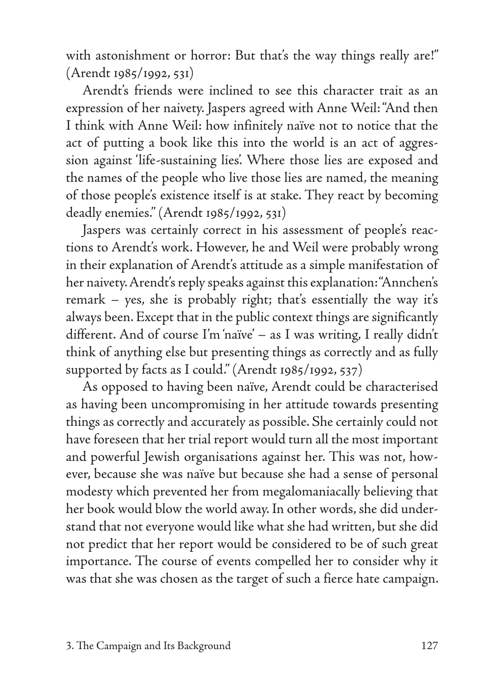with astonishment or horror: But that's the way things really are!'' (Arendt 1985/1992, 531)

Arendt's friends were inclined to see this character trait as an expression of her naivety. Jaspers agreed with Anne Weil: "And then I think with Anne Weil: how infinitely naïve not to notice that the act of putting a book like this into the world is an act of aggression against 'life-sustaining lies'. Where those lies are exposed and the names of the people who live those lies are named, the meaning of those people's existence itself is at stake. They react by becoming deadly enemies." (Arendt 1985/1992, 531)

Jaspers was certainly correct in his assessment of people's reactions to Arendt's work. However, he and Weil were probably wrong in their explanation of Arendt's attitude as a simple manifestation of her naivety. Arendt's reply speaks against this explanation: "Annchen's remark – yes, she is probably right; that's essentially the way it's always been. Except that in the public context things are significantly different. And of course I'm 'naïve' – as I was writing, I really didn't think of anything else but presenting things as correctly and as fully supported by facts as I could." (Arendt 1985/1992, 537)

As opposed to having been naïve, Arendt could be characterised as having been uncompromising in her attitude towards presenting things as correctly and accurately as possible. She certainly could not have foreseen that her trial report would turn all the most important and powerful Jewish organisations against her. This was not, however, because she was naïve but because she had a sense of personal modesty which prevented her from megalomaniacally believing that her book would blow the world away. In other words, she did understand that not everyone would like what she had written, but she did not predict that her report would be considered to be of such great importance. The course of events compelled her to consider why it was that she was chosen as the target of such a fierce hate campaign.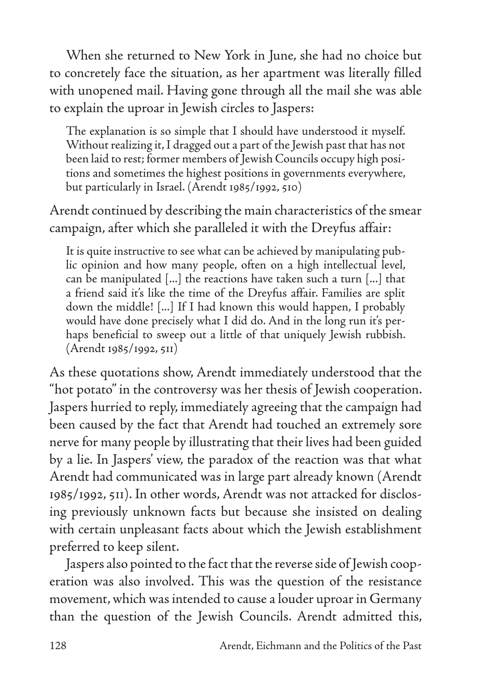When she returned to New York in June, she had no choice but to concretely face the situation, as her apartment was literally filled with unopened mail. Having gone through all the mail she was able to explain the uproar in Jewish circles to Jaspers:

The explanation is so simple that I should have understood it myself. Without realizing it, I dragged out a part of the Jewish past that has not been laid to rest; former members of Jewish Councils occupy high positions and sometimes the highest positions in governments everywhere, but particularly in Israel. (Arendt 1985/1992, 510)

Arendt continued by describing the main characteristics of the smear campaign, after which she paralleled it with the Dreyfus affair:

It is quite instructive to see what can be achieved by manipulating public opinion and how many people, often on a high intellectual level, can be manipulated [...] the reactions have taken such a turn [...] that a friend said it's like the time of the Dreyfus affair. Families are split down the middle! [...] If I had known this would happen, I probably would have done precisely what I did do. And in the long run it's perhaps beneficial to sweep out a little of that uniquely Jewish rubbish. (Arendt 1985/1992, 511)

As these quotations show, Arendt immediately understood that the "hot potato" in the controversy was her thesis of Jewish cooperation. Jaspers hurried to reply, immediately agreeing that the campaign had been caused by the fact that Arendt had touched an extremely sore nerve for many people by illustrating that their lives had been guided by a lie. In Jaspers' view, the paradox of the reaction was that what Arendt had communicated was in large part already known (Arendt 1985/1992, 511). In other words, Arendt was not attacked for disclosing previously unknown facts but because she insisted on dealing with certain unpleasant facts about which the Jewish establishment preferred to keep silent.

Jaspers also pointed to the fact that the reverse side of Jewish cooperation was also involved. This was the question of the resistance movement, which was intended to cause a louder uproar in Germany than the question of the Jewish Councils. Arendt admitted this,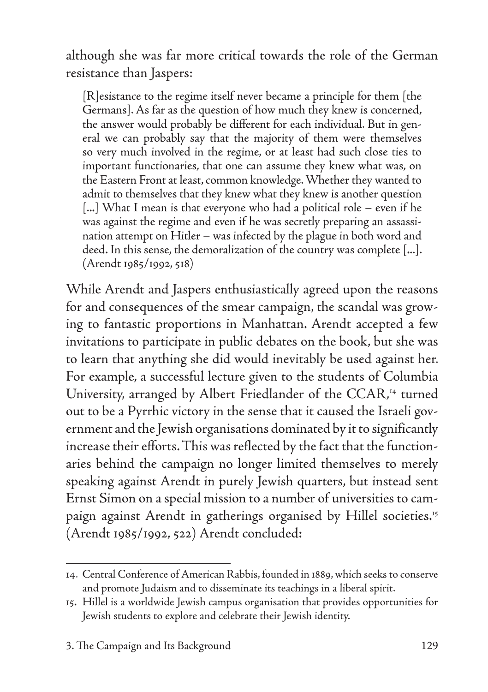although she was far more critical towards the role of the German resistance than Jaspers:

[R]esistance to the regime itself never became a principle for them [the Germans]. As far as the question of how much they knew is concerned, the answer would probably be different for each individual. But in general we can probably say that the majority of them were themselves so very much involved in the regime, or at least had such close ties to important functionaries, that one can assume they knew what was, on the Eastern Front at least, common knowledge. Whether they wanted to admit to themselves that they knew what they knew is another question [...] What I mean is that everyone who had a political role – even if he was against the regime and even if he was secretly preparing an assassination attempt on Hitler – was infected by the plague in both word and deed. In this sense, the demoralization of the country was complete [...]. (Arendt 1985/1992, 518)

While Arendt and Jaspers enthusiastically agreed upon the reasons for and consequences of the smear campaign, the scandal was growing to fantastic proportions in Manhattan. Arendt accepted a few invitations to participate in public debates on the book, but she was to learn that anything she did would inevitably be used against her. For example, a successful lecture given to the students of Columbia University, arranged by Albert Friedlander of the CCAR,<sup>14</sup> turned out to be a Pyrrhic victory in the sense that it caused the Israeli government and the Jewish organisations dominated by it to significantly increase their efforts. This was reflected by the fact that the functionaries behind the campaign no longer limited themselves to merely speaking against Arendt in purely Jewish quarters, but instead sent Ernst Simon on a special mission to a number of universities to campaign against Arendt in gatherings organised by Hillel societies.<sup>15</sup> (Arendt 1985/1992, 522) Arendt concluded:

<sup>14.</sup> Central Conference of American Rabbis, founded in 1889, which seeks to conserve and promote Judaism and to disseminate its teachings in a liberal spirit.

<sup>15.</sup> Hillel is a worldwide Jewish campus organisation that provides opportunities for Jewish students to explore and celebrate their Jewish identity.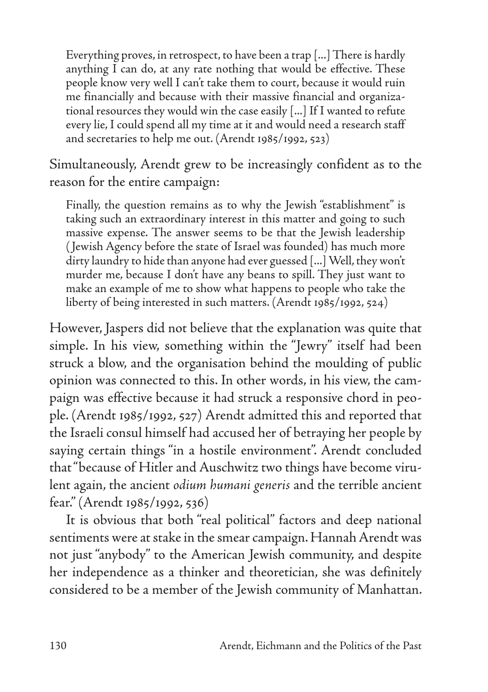Everything proves, in retrospect, to have been a trap [...] There is hardly anything I can do, at any rate nothing that would be effective. These people know very well I can't take them to court, because it would ruin me financially and because with their massive financial and organizational resources they would win the case easily [...] If I wanted to refute every lie, I could spend all my time at it and would need a research staff and secretaries to help me out. (Arendt 1985/1992, 523)

Simultaneously, Arendt grew to be increasingly confident as to the reason for the entire campaign:

Finally, the question remains as to why the Jewish "establishment" is taking such an extraordinary interest in this matter and going to such massive expense. The answer seems to be that the Jewish leadership ( Jewish Agency before the state of Israel was founded) has much more dirty laundry to hide than anyone had ever guessed [...] Well, they won't murder me, because I don't have any beans to spill. They just want to make an example of me to show what happens to people who take the liberty of being interested in such matters. (Arendt 1985/1992, 524)

However, Jaspers did not believe that the explanation was quite that simple. In his view, something within the "Jewry" itself had been struck a blow, and the organisation behind the moulding of public opinion was connected to this. In other words, in his view, the campaign was effective because it had struck a responsive chord in people. (Arendt 1985/1992, 527) Arendt admitted this and reported that the Israeli consul himself had accused her of betraying her people by saying certain things "in a hostile environment". Arendt concluded that "because of Hitler and Auschwitz two things have become virulent again, the ancient *odium humani generis* and the terrible ancient fear." (Arendt 1985/1992, 536)

It is obvious that both "real political" factors and deep national sentiments were at stake in the smear campaign. Hannah Arendt was not just "anybody" to the American Jewish community, and despite her independence as a thinker and theoretician, she was definitely considered to be a member of the Jewish community of Manhattan.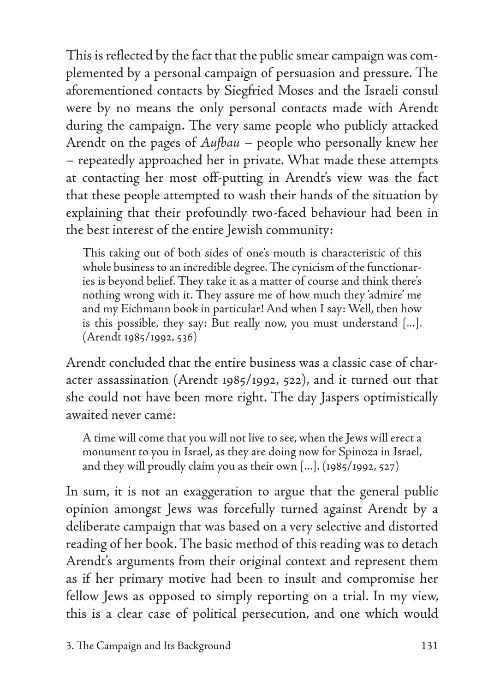This is reflected by the fact that the public smear campaign was complemented by a personal campaign of persuasion and pressure. The aforementioned contacts by Siegfried Moses and the Israeli consul were by no means the only personal contacts made with Arendt during the campaign. The very same people who publicly attacked Arendt on the pages of *Aufbau –* people who personally knew her – repeatedly approached her in private. What made these attempts at contacting her most off-putting in Arendt's view was the fact that these people attempted to wash their hands of the situation by explaining that their profoundly two-faced behaviour had been in the best interest of the entire Jewish community:

This taking out of both sides of one's mouth is characteristic of this whole business to an incredible degree. The cynicism of the functionaries is beyond belief. They take it as a matter of course and think there's nothing wrong with it. They assure me of how much they 'admire' me and my Eichmann book in particular! And when I say: Well, then how is this possible, they say: But really now, you must understand [...]. (Arendt 1985/1992, 536)

Arendt concluded that the entire business was a classic case of character assassination (Arendt 1985/1992, 522), and it turned out that she could not have been more right. The day Jaspers optimistically awaited never came:

A time will come that you will not live to see, when the Jews will erect a monument to you in Israel, as they are doing now for Spinoza in Israel, and they will proudly claim you as their own [...]. (1985/1992, 527)

In sum, it is not an exaggeration to argue that the general public opinion amongst Jews was forcefully turned against Arendt by a deliberate campaign that was based on a very selective and distorted reading of her book. The basic method of this reading was to detach Arendt's arguments from their original context and represent them as if her primary motive had been to insult and compromise her fellow Jews as opposed to simply reporting on a trial. In my view, this is a clear case of political persecution, and one which would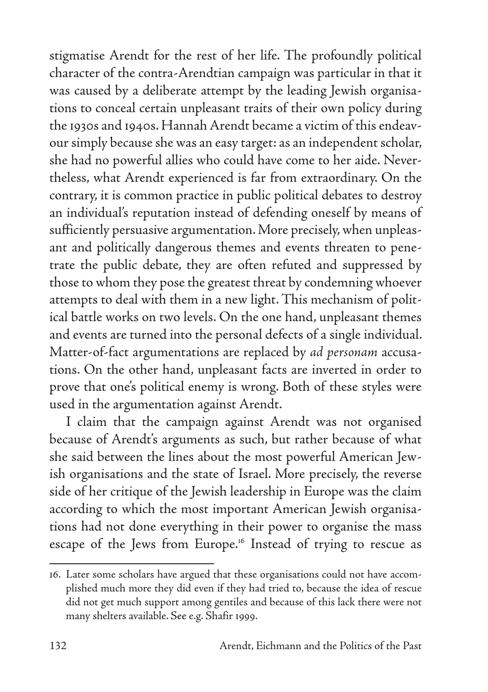stigmatise Arendt for the rest of her life. The profoundly political character of the contra-Arendtian campaign was particular in that it was caused by a deliberate attempt by the leading Jewish organisations to conceal certain unpleasant traits of their own policy during the 1930s and 1940s. Hannah Arendt became a victim of this endeavour simply because she was an easy target: as an independent scholar, she had no powerful allies who could have come to her aide. Nevertheless, what Arendt experienced is far from extraordinary. On the contrary, it is common practice in public political debates to destroy an individual's reputation instead of defending oneself by means of sufficiently persuasive argumentation. More precisely, when unpleasant and politically dangerous themes and events threaten to penetrate the public debate, they are often refuted and suppressed by those to whom they pose the greatest threat by condemning whoever attempts to deal with them in a new light. This mechanism of political battle works on two levels. On the one hand, unpleasant themes and events are turned into the personal defects of a single individual. Matter-of-fact argumentations are replaced by *ad personam* accusations. On the other hand, unpleasant facts are inverted in order to prove that one's political enemy is wrong. Both of these styles were used in the argumentation against Arendt.

I claim that the campaign against Arendt was not organised because of Arendt's arguments as such, but rather because of what she said between the lines about the most powerful American Jewish organisations and the state of Israel. More precisely, the reverse side of her critique of the Jewish leadership in Europe was the claim according to which the most important American Jewish organisations had not done everything in their power to organise the mass escape of the Jews from Europe.16 Instead of trying to rescue as

<sup>16.</sup> Later some scholars have argued that these organisations could not have accomplished much more they did even if they had tried to, because the idea of rescue did not get much support among gentiles and because of this lack there were not many shelters available. See e.g. Shafir 1999.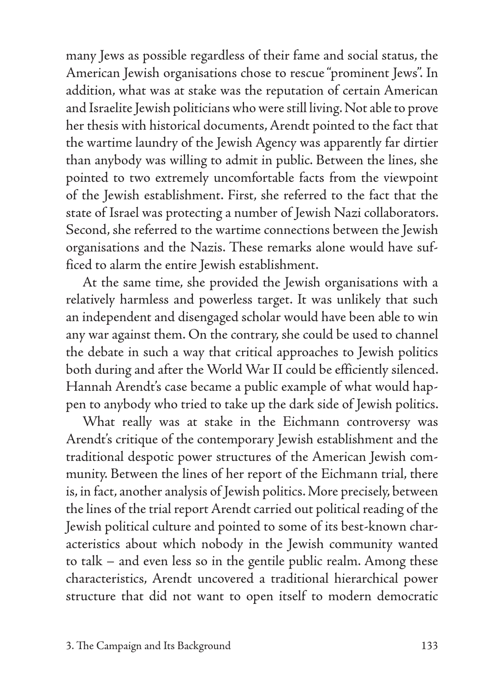many Jews as possible regardless of their fame and social status, the American Jewish organisations chose to rescue "prominent Jews". In addition, what was at stake was the reputation of certain American and Israelite Jewish politicians who were still living. Not able to prove her thesis with historical documents, Arendt pointed to the fact that the wartime laundry of the Jewish Agency was apparently far dirtier than anybody was willing to admit in public. Between the lines, she pointed to two extremely uncomfortable facts from the viewpoint of the Jewish establishment. First, she referred to the fact that the state of Israel was protecting a number of Jewish Nazi collaborators. Second, she referred to the wartime connections between the Jewish organisations and the Nazis. These remarks alone would have sufficed to alarm the entire Jewish establishment.

At the same time, she provided the Jewish organisations with a relatively harmless and powerless target. It was unlikely that such an independent and disengaged scholar would have been able to win any war against them. On the contrary, she could be used to channel the debate in such a way that critical approaches to Jewish politics both during and after the World War II could be efficiently silenced. Hannah Arendt's case became a public example of what would happen to anybody who tried to take up the dark side of Jewish politics.

What really was at stake in the Eichmann controversy was Arendt's critique of the contemporary Jewish establishment and the traditional despotic power structures of the American Jewish community. Between the lines of her report of the Eichmann trial, there is, in fact, another analysis of Jewish politics. More precisely, between the lines of the trial report Arendt carried out political reading of the Jewish political culture and pointed to some of its best-known characteristics about which nobody in the Jewish community wanted to talk – and even less so in the gentile public realm. Among these characteristics, Arendt uncovered a traditional hierarchical power structure that did not want to open itself to modern democratic